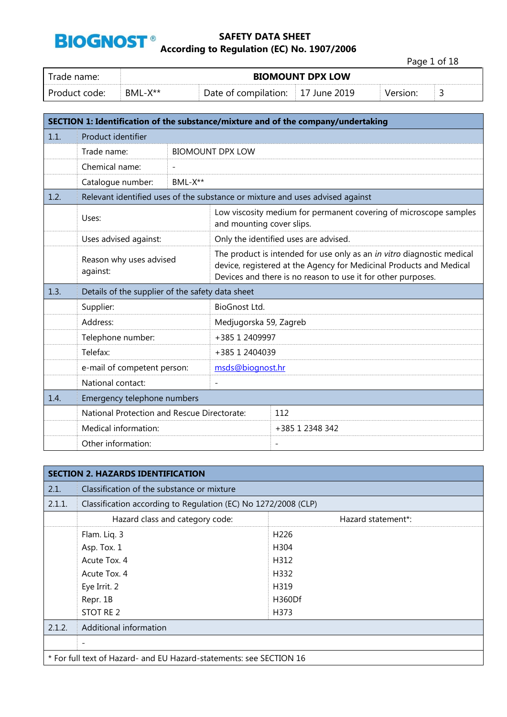

Page 1 of 18

| i rade name:    | <b>BIOMOUNT DPX LOW</b> |                                   |  |  |   |
|-----------------|-------------------------|-----------------------------------|--|--|---|
| . Product code: | RMI-X**                 | Date of compilation: 17 June 2019 |  |  | ے |

|      | SECTION 1: Identification of the substance/mixture and of the company/undertaking |                |                                                                                                                                                                                                               |                                                                                                |  |  |
|------|-----------------------------------------------------------------------------------|----------------|---------------------------------------------------------------------------------------------------------------------------------------------------------------------------------------------------------------|------------------------------------------------------------------------------------------------|--|--|
| 1.1. | Product identifier                                                                |                |                                                                                                                                                                                                               |                                                                                                |  |  |
|      | Trade name:                                                                       |                | <b>BIOMOUNT DPX LOW</b>                                                                                                                                                                                       |                                                                                                |  |  |
|      | Chemical name:                                                                    | $\overline{a}$ |                                                                                                                                                                                                               |                                                                                                |  |  |
|      | Catalogue number:                                                                 | BML-X**        |                                                                                                                                                                                                               |                                                                                                |  |  |
| 1.2. | Relevant identified uses of the substance or mixture and uses advised against     |                |                                                                                                                                                                                                               |                                                                                                |  |  |
|      | Uses:                                                                             |                |                                                                                                                                                                                                               | Low viscosity medium for permanent covering of microscope samples<br>and mounting cover slips. |  |  |
|      | Uses advised against:                                                             |                |                                                                                                                                                                                                               | Only the identified uses are advised.                                                          |  |  |
|      | Reason why uses advised<br>against:                                               |                | The product is intended for use only as an in vitro diagnostic medical<br>device, registered at the Agency for Medicinal Products and Medical<br>Devices and there is no reason to use it for other purposes. |                                                                                                |  |  |
| 1.3. | Details of the supplier of the safety data sheet                                  |                |                                                                                                                                                                                                               |                                                                                                |  |  |
|      | Supplier:                                                                         |                | BioGnost Ltd.                                                                                                                                                                                                 |                                                                                                |  |  |
|      | Address:                                                                          |                | Medjugorska 59, Zagreb                                                                                                                                                                                        |                                                                                                |  |  |
|      | Telephone number:                                                                 |                | +385 1 2409997                                                                                                                                                                                                |                                                                                                |  |  |
|      | Telefax:                                                                          |                | +385 1 2404039                                                                                                                                                                                                |                                                                                                |  |  |
|      | e-mail of competent person:                                                       |                | msds@biognost.hr                                                                                                                                                                                              |                                                                                                |  |  |
|      | National contact:                                                                 |                |                                                                                                                                                                                                               |                                                                                                |  |  |
| 1.4. | Emergency telephone numbers                                                       |                |                                                                                                                                                                                                               |                                                                                                |  |  |
|      | National Protection and Rescue Directorate:                                       |                |                                                                                                                                                                                                               | 112                                                                                            |  |  |
|      | Medical information:                                                              |                |                                                                                                                                                                                                               | +385 1 2348 342                                                                                |  |  |
|      | Other information:                                                                |                |                                                                                                                                                                                                               | $\overline{\phantom{a}}$                                                                       |  |  |

|        | <b>SECTION 2. HAZARDS IDENTIFICATION</b>                            |                    |  |  |  |
|--------|---------------------------------------------------------------------|--------------------|--|--|--|
| 2.1.   | Classification of the substance or mixture                          |                    |  |  |  |
| 2.1.1. | Classification according to Regulation (EC) No 1272/2008 (CLP)      |                    |  |  |  |
|        | Hazard class and category code:                                     | Hazard statement*: |  |  |  |
|        | Flam. Liq. 3                                                        | H <sub>226</sub>   |  |  |  |
|        | Asp. Tox. 1                                                         | H304               |  |  |  |
|        | Acute Tox, 4                                                        | H312               |  |  |  |
|        | Acute Tox, 4                                                        | H332               |  |  |  |
|        | Eye Irrit. 2                                                        | H319               |  |  |  |
|        | Repr. 1B                                                            | H360Df             |  |  |  |
|        | STOT RE 2                                                           | H373               |  |  |  |
| 2.1.2. | Additional information                                              |                    |  |  |  |
|        |                                                                     |                    |  |  |  |
|        | * For full text of Hazard- and EU Hazard-statements: see SECTION 16 |                    |  |  |  |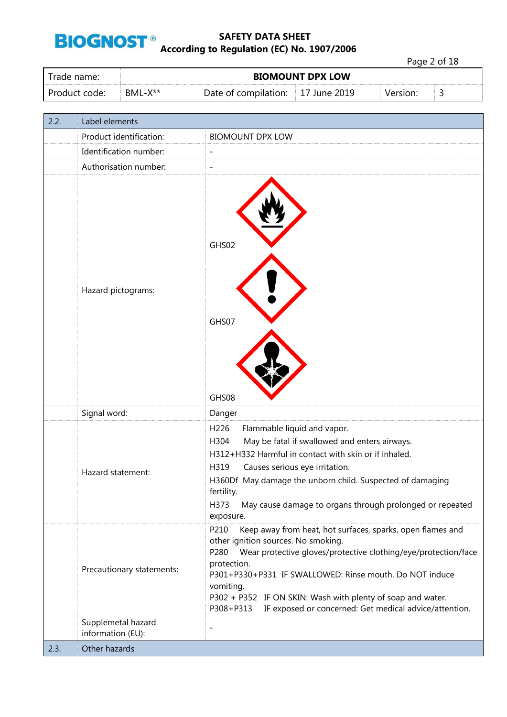

Page 2 of 18

| Trade name:   | <b>BIOMOUNT DPX LOW</b> |                      |              |          |    |
|---------------|-------------------------|----------------------|--------------|----------|----|
| Product code: | $BML-X^{**}$            | Date of compilation: | 17 June 2019 | Version: | ــ |

| 2.2. | Label elements                          |                                                                                                                                                                                                                                                                                                                                                                                                                  |
|------|-----------------------------------------|------------------------------------------------------------------------------------------------------------------------------------------------------------------------------------------------------------------------------------------------------------------------------------------------------------------------------------------------------------------------------------------------------------------|
|      | Product identification:                 | <b>BIOMOUNT DPX LOW</b>                                                                                                                                                                                                                                                                                                                                                                                          |
|      | Identification number:                  | $\overline{a}$                                                                                                                                                                                                                                                                                                                                                                                                   |
|      | Authorisation number:                   | L,                                                                                                                                                                                                                                                                                                                                                                                                               |
|      | Hazard pictograms:                      | GHS02<br>GHS07<br>GHS08                                                                                                                                                                                                                                                                                                                                                                                          |
|      | Signal word:                            | Danger                                                                                                                                                                                                                                                                                                                                                                                                           |
|      | Hazard statement:                       | H226<br>Flammable liquid and vapor.<br>May be fatal if swallowed and enters airways.<br>H304<br>H312+H332 Harmful in contact with skin or if inhaled.<br>H319<br>Causes serious eye irritation.<br>H360Df May damage the unborn child. Suspected of damaging<br>fertility.<br>H373<br>May cause damage to organs through prolonged or repeated<br>exposure.                                                      |
|      | Precautionary statements:               | P210<br>Keep away from heat, hot surfaces, sparks, open flames and<br>other ignition sources. No smoking.<br>Wear protective gloves/protective clothing/eye/protection/face<br>P280<br>protection.<br>P301+P330+P331 IF SWALLOWED: Rinse mouth. Do NOT induce<br>vomiting.<br>P302 + P352 IF ON SKIN: Wash with plenty of soap and water.<br>IF exposed or concerned: Get medical advice/attention.<br>P308+P313 |
|      | Supplemetal hazard<br>information (EU): | $\overline{\phantom{0}}$                                                                                                                                                                                                                                                                                                                                                                                         |
| 2.3. | Other hazards                           |                                                                                                                                                                                                                                                                                                                                                                                                                  |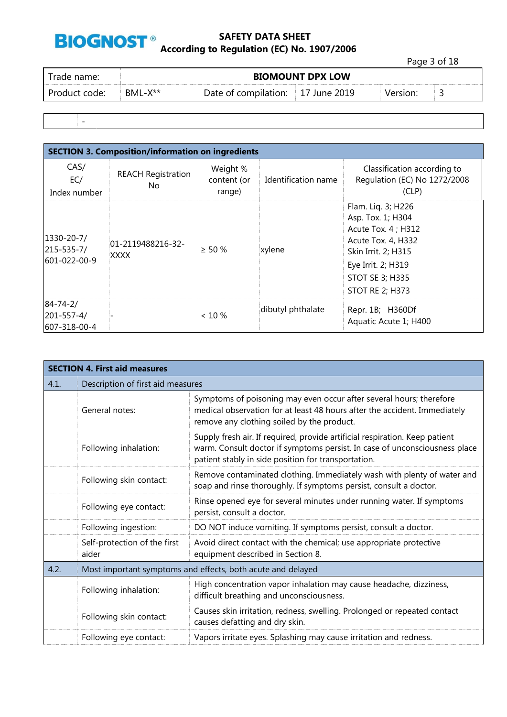

Page 3 of 18

| BML-X**<br>Date of compilation: 17 June 2019<br>Product code:<br>Version: |  |
|---------------------------------------------------------------------------|--|

-

| <b>SECTION 3. Composition/information on ingredients</b> |                                  |                                   |                     |                                                                                                                                                                                       |  |  |
|----------------------------------------------------------|----------------------------------|-----------------------------------|---------------------|---------------------------------------------------------------------------------------------------------------------------------------------------------------------------------------|--|--|
| CAS/<br>EC/<br>Index number                              | <b>REACH Registration</b><br>No  | Weight %<br>content (or<br>range) | Identification name | Classification according to<br>Regulation (EC) No 1272/2008<br>(CLP)                                                                                                                  |  |  |
| 1330-20-7/<br>$215 - 535 - 7/$<br>601-022-00-9           | 01-2119488216-32-<br><b>XXXX</b> | $> 50 \%$                         | xylene              | Flam. Liq. 3; H226<br>Asp. Tox. 1; H304<br>Acute Tox. 4 ; H312<br>Acute Tox. 4, H332<br>Skin Irrit. 2; H315<br>Eye Irrit. 2; H319<br><b>STOT SE 3; H335</b><br><b>STOT RE 2; H373</b> |  |  |
| $84 - 74 - 2/$<br>$201 - 557 - 4/$<br>607-318-00-4       |                                  | $< 10 \%$                         | dibutyl phthalate   | Repr. 1B; H360Df<br>Aquatic Acute 1; H400                                                                                                                                             |  |  |

|      | <b>SECTION 4. First aid measures</b>                        |                                                                                                                                                                                                                  |  |  |  |
|------|-------------------------------------------------------------|------------------------------------------------------------------------------------------------------------------------------------------------------------------------------------------------------------------|--|--|--|
| 4.1. | Description of first aid measures                           |                                                                                                                                                                                                                  |  |  |  |
|      | General notes:                                              | Symptoms of poisoning may even occur after several hours; therefore<br>medical observation for at least 48 hours after the accident. Immediately<br>remove any clothing soiled by the product.                   |  |  |  |
|      | Following inhalation:                                       | Supply fresh air. If required, provide artificial respiration. Keep patient<br>warm. Consult doctor if symptoms persist. In case of unconsciousness place<br>patient stably in side position for transportation. |  |  |  |
|      | Following skin contact:                                     | Remove contaminated clothing. Immediately wash with plenty of water and<br>soap and rinse thoroughly. If symptoms persist, consult a doctor.                                                                     |  |  |  |
|      | Following eye contact:                                      | Rinse opened eye for several minutes under running water. If symptoms<br>persist, consult a doctor.                                                                                                              |  |  |  |
|      | Following ingestion:                                        | DO NOT induce vomiting. If symptoms persist, consult a doctor.                                                                                                                                                   |  |  |  |
|      | Self-protection of the first<br>aider                       | Avoid direct contact with the chemical; use appropriate protective<br>equipment described in Section 8.                                                                                                          |  |  |  |
| 4.2. | Most important symptoms and effects, both acute and delayed |                                                                                                                                                                                                                  |  |  |  |
|      | Following inhalation:                                       | High concentration vapor inhalation may cause headache, dizziness,<br>difficult breathing and unconsciousness.                                                                                                   |  |  |  |
|      | Following skin contact:                                     | Causes skin irritation, redness, swelling. Prolonged or repeated contact<br>causes defatting and dry skin.                                                                                                       |  |  |  |
|      | Following eye contact:                                      | Vapors irritate eyes. Splashing may cause irritation and redness.                                                                                                                                                |  |  |  |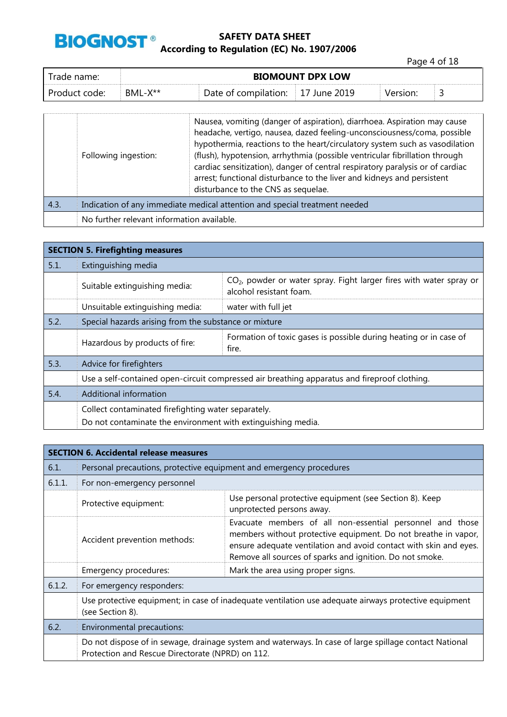

Page 4 of 18

| rade name:    | <b>BIOMOUNT DPX LOW</b> |                      |                    |          |  |
|---------------|-------------------------|----------------------|--------------------|----------|--|
| Product code: | $BML-X^{**}$            | Date of compilation: | $\pm 17$ June 2019 | Version: |  |

|      | Following ingestion:                                                       | Nausea, vomiting (danger of aspiration), diarrhoea. Aspiration may cause<br>headache, vertigo, nausea, dazed feeling-unconsciousness/coma, possible<br>hypothermia, reactions to the heart/circulatory system such as vasodilation<br>(flush), hypotension, arrhythmia (possible ventricular fibrillation through<br>cardiac sensitization), danger of central respiratory paralysis or of cardiac<br>arrest; functional disturbance to the liver and kidneys and persistent<br>disturbance to the CNS as sequelae. |  |
|------|----------------------------------------------------------------------------|---------------------------------------------------------------------------------------------------------------------------------------------------------------------------------------------------------------------------------------------------------------------------------------------------------------------------------------------------------------------------------------------------------------------------------------------------------------------------------------------------------------------|--|
| 4.3. | Indication of any immediate medical attention and special treatment needed |                                                                                                                                                                                                                                                                                                                                                                                                                                                                                                                     |  |
|      | No further relevant information available.                                 |                                                                                                                                                                                                                                                                                                                                                                                                                                                                                                                     |  |

|      | <b>SECTION 5. Firefighting measures</b>                                                      |                                                                                                  |  |  |  |
|------|----------------------------------------------------------------------------------------------|--------------------------------------------------------------------------------------------------|--|--|--|
| 5.1. | Extinguishing media                                                                          |                                                                                                  |  |  |  |
|      | Suitable extinguishing media:                                                                | $CO2$ , powder or water spray. Fight larger fires with water spray or<br>alcohol resistant foam. |  |  |  |
|      | Unsuitable extinguishing media:                                                              | water with full jet                                                                              |  |  |  |
| 5.2. | Special hazards arising from the substance or mixture                                        |                                                                                                  |  |  |  |
|      | Hazardous by products of fire:                                                               | Formation of toxic gases is possible during heating or in case of<br>fire.                       |  |  |  |
| 5.3. | Advice for firefighters                                                                      |                                                                                                  |  |  |  |
|      | Use a self-contained open-circuit compressed air breathing apparatus and fireproof clothing. |                                                                                                  |  |  |  |
| 5.4. | Additional information                                                                       |                                                                                                  |  |  |  |
|      | Collect contaminated firefighting water separately.                                          |                                                                                                  |  |  |  |
|      | Do not contaminate the environment with extinguishing media.                                 |                                                                                                  |  |  |  |

|        | <b>SECTION 6. Accidental release measures</b>                                                                             |                                                                                                                                                                                                                                                              |  |  |  |
|--------|---------------------------------------------------------------------------------------------------------------------------|--------------------------------------------------------------------------------------------------------------------------------------------------------------------------------------------------------------------------------------------------------------|--|--|--|
| 6.1.   | Personal precautions, protective equipment and emergency procedures                                                       |                                                                                                                                                                                                                                                              |  |  |  |
| 6.1.1. | For non-emergency personnel                                                                                               |                                                                                                                                                                                                                                                              |  |  |  |
|        | Protective equipment:                                                                                                     | Use personal protective equipment (see Section 8). Keep<br>unprotected persons away.                                                                                                                                                                         |  |  |  |
|        | Accident prevention methods:                                                                                              | Evacuate members of all non-essential personnel and those<br>members without protective equipment. Do not breathe in vapor,<br>ensure adequate ventilation and avoid contact with skin and eyes.<br>Remove all sources of sparks and ignition. Do not smoke. |  |  |  |
|        | Emergency procedures:                                                                                                     | Mark the area using proper signs.                                                                                                                                                                                                                            |  |  |  |
| 6.1.2. | For emergency responders:                                                                                                 |                                                                                                                                                                                                                                                              |  |  |  |
|        | Use protective equipment; in case of inadequate ventilation use adequate airways protective equipment<br>(see Section 8). |                                                                                                                                                                                                                                                              |  |  |  |
| 6.2.   | Environmental precautions:                                                                                                |                                                                                                                                                                                                                                                              |  |  |  |
|        | Protection and Rescue Directorate (NPRD) on 112.                                                                          | Do not dispose of in sewage, drainage system and waterways. In case of large spillage contact National                                                                                                                                                       |  |  |  |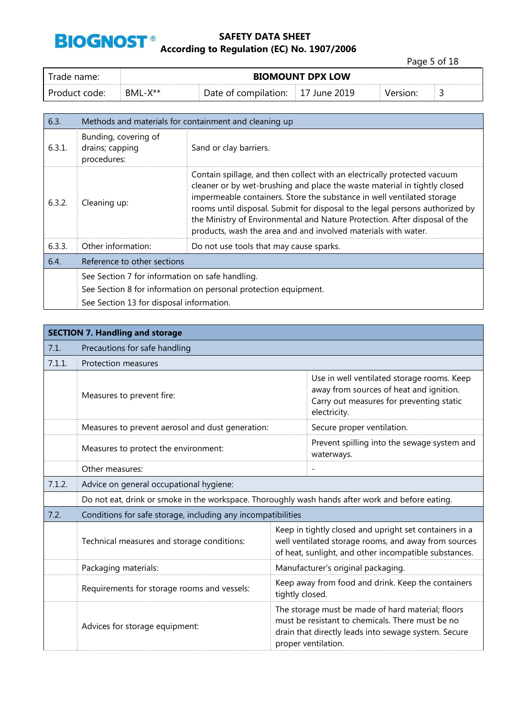

Page 5 of 18

| Trade name:     | <b>BIOMOUNT DPX LOW</b> |                                     |  |          |  |
|-----------------|-------------------------|-------------------------------------|--|----------|--|
| l Product code: | $BML-X**$               | Date of compilation:   17 June 2019 |  | Version: |  |

| 6.3.   | Methods and materials for containment and cleaning up  |                                                                                                                                                                                                                                                                                                                                                                                                                                                                 |  |
|--------|--------------------------------------------------------|-----------------------------------------------------------------------------------------------------------------------------------------------------------------------------------------------------------------------------------------------------------------------------------------------------------------------------------------------------------------------------------------------------------------------------------------------------------------|--|
| 6.3.1. | Bunding, covering of<br>drains; capping<br>procedures: | Sand or clay barriers.                                                                                                                                                                                                                                                                                                                                                                                                                                          |  |
| 6.3.2. | Cleaning up:                                           | Contain spillage, and then collect with an electrically protected vacuum<br>cleaner or by wet-brushing and place the waste material in tightly closed<br>impermeable containers. Store the substance in well ventilated storage<br>rooms until disposal. Submit for disposal to the legal persons authorized by<br>the Ministry of Environmental and Nature Protection. After disposal of the<br>products, wash the area and and involved materials with water. |  |
| 6.3.3. | Other information:                                     | Do not use tools that may cause sparks.                                                                                                                                                                                                                                                                                                                                                                                                                         |  |
| 6.4.   | Reference to other sections                            |                                                                                                                                                                                                                                                                                                                                                                                                                                                                 |  |
|        | See Section 7 for information on safe handling.        |                                                                                                                                                                                                                                                                                                                                                                                                                                                                 |  |
|        |                                                        | See Section 8 for information on personal protection equipment.                                                                                                                                                                                                                                                                                                                                                                                                 |  |
|        | See Section 13 for disposal information.               |                                                                                                                                                                                                                                                                                                                                                                                                                                                                 |  |

|        | <b>SECTION 7. Handling and storage</b>                                                           |                                                                                                                                                                                      |                                                                                                                                                                         |  |  |
|--------|--------------------------------------------------------------------------------------------------|--------------------------------------------------------------------------------------------------------------------------------------------------------------------------------------|-------------------------------------------------------------------------------------------------------------------------------------------------------------------------|--|--|
| 7.1.   | Precautions for safe handling                                                                    |                                                                                                                                                                                      |                                                                                                                                                                         |  |  |
| 7.1.1. | <b>Protection measures</b>                                                                       |                                                                                                                                                                                      |                                                                                                                                                                         |  |  |
|        | Measures to prevent fire:                                                                        |                                                                                                                                                                                      | Use in well ventilated storage rooms. Keep<br>away from sources of heat and ignition.<br>Carry out measures for preventing static<br>electricity.                       |  |  |
|        | Measures to prevent aerosol and dust generation:                                                 |                                                                                                                                                                                      | Secure proper ventilation.                                                                                                                                              |  |  |
|        | Measures to protect the environment:                                                             |                                                                                                                                                                                      | Prevent spilling into the sewage system and<br>waterways.                                                                                                               |  |  |
|        | Other measures:                                                                                  |                                                                                                                                                                                      |                                                                                                                                                                         |  |  |
| 7.1.2. | Advice on general occupational hygiene:                                                          |                                                                                                                                                                                      |                                                                                                                                                                         |  |  |
|        | Do not eat, drink or smoke in the workspace. Thoroughly wash hands after work and before eating. |                                                                                                                                                                                      |                                                                                                                                                                         |  |  |
| 7.2.   | Conditions for safe storage, including any incompatibilities                                     |                                                                                                                                                                                      |                                                                                                                                                                         |  |  |
|        | Technical measures and storage conditions:                                                       |                                                                                                                                                                                      | Keep in tightly closed and upright set containers in a<br>well ventilated storage rooms, and away from sources<br>of heat, sunlight, and other incompatible substances. |  |  |
|        | Packaging materials:                                                                             |                                                                                                                                                                                      | Manufacturer's original packaging.                                                                                                                                      |  |  |
|        | Requirements for storage rooms and vessels:                                                      | Keep away from food and drink. Keep the containers<br>tightly closed.                                                                                                                |                                                                                                                                                                         |  |  |
|        | Advices for storage equipment:                                                                   | The storage must be made of hard material; floors<br>must be resistant to chemicals. There must be no<br>drain that directly leads into sewage system. Secure<br>proper ventilation. |                                                                                                                                                                         |  |  |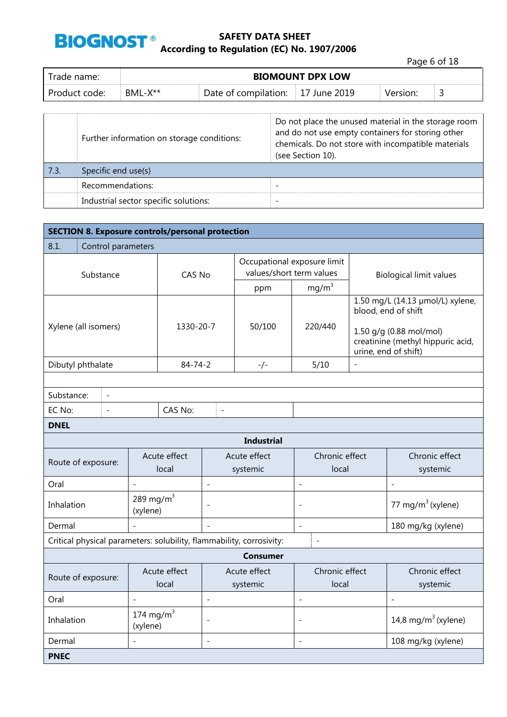

Page 6 of 18

| Trade name: I | <b>BIOMOUNT DPX LOW</b> |                      |                   |          |   |
|---------------|-------------------------|----------------------|-------------------|----------|---|
| Product code: | $BML-X**$               | Date of compilation: | ' June 2019<br>1/ | Version: | ັ |

|      | Further information on storage conditions: | Do not place the unused material in the storage room<br>and do not use empty containers for storing other<br>chemicals. Do not store with incompatible materials<br>(see Section 10). |
|------|--------------------------------------------|---------------------------------------------------------------------------------------------------------------------------------------------------------------------------------------|
| 7.3. | Specific end use(s)                        |                                                                                                                                                                                       |
|      | Recommendations:                           |                                                                                                                                                                                       |
|      | Industrial sector specific solutions:      | -                                                                                                                                                                                     |

| <b>SECTION 8. Exposure controls/personal protection</b>              |                                            |                       |                          |                          |                                                         |                                 |                                                                                                                                                 |
|----------------------------------------------------------------------|--------------------------------------------|-----------------------|--------------------------|--------------------------|---------------------------------------------------------|---------------------------------|-------------------------------------------------------------------------------------------------------------------------------------------------|
| 8.1.<br>Control parameters                                           |                                            |                       |                          |                          |                                                         |                                 |                                                                                                                                                 |
| Substance                                                            |                                            | CAS No                |                          |                          | Occupational exposure limit<br>values/short term values |                                 | <b>Biological limit values</b>                                                                                                                  |
|                                                                      |                                            |                       |                          | ppm                      | $mg/m^3$                                                |                                 |                                                                                                                                                 |
| Xylene (all isomers)                                                 |                                            | 1330-20-7             |                          | 50/100                   | 220/440                                                 |                                 | 1.50 mg/L (14.13 µmol/L) xylene,<br>blood, end of shift<br>1.50 g/g (0.88 mol/mol)<br>creatinine (methyl hippuric acid,<br>urine, end of shift) |
| Dibutyl phthalate                                                    |                                            | $84 - 74 - 2$         |                          | -/-                      | 5/10                                                    | $\overline{a}$                  |                                                                                                                                                 |
|                                                                      |                                            |                       |                          |                          |                                                         |                                 |                                                                                                                                                 |
| Substance:<br>$\overline{\phantom{a}}$                               |                                            |                       |                          |                          |                                                         |                                 |                                                                                                                                                 |
| EC No:<br>$\overline{a}$                                             |                                            | CAS No:               | $\overline{a}$           |                          |                                                         |                                 |                                                                                                                                                 |
| <b>DNEL</b>                                                          |                                            |                       |                          |                          |                                                         |                                 |                                                                                                                                                 |
|                                                                      |                                            |                       |                          | <b>Industrial</b>        |                                                         |                                 |                                                                                                                                                 |
| Route of exposure:                                                   |                                            | Acute effect<br>local | Acute effect<br>systemic |                          | Chronic effect<br>local                                 |                                 | Chronic effect<br>systemic                                                                                                                      |
| Oral                                                                 | $\overline{\phantom{0}}$                   |                       | $\overline{\phantom{0}}$ |                          | $\overline{a}$                                          |                                 | $\overline{a}$                                                                                                                                  |
| Inhalation                                                           | 289 mg/m $3$<br>(xylene)                   |                       |                          |                          | $\overline{\phantom{a}}$                                |                                 | 77 mg/m $3$ (xylene)                                                                                                                            |
| Dermal                                                               |                                            |                       | $\sim$                   |                          | $\overline{\phantom{a}}$                                |                                 | 180 mg/kg (xylene)                                                                                                                              |
| Critical physical parameters: solubility, flammability, corrosivity: |                                            |                       |                          |                          | $\overline{a}$                                          |                                 |                                                                                                                                                 |
|                                                                      |                                            |                       |                          | <b>Consumer</b>          |                                                         |                                 |                                                                                                                                                 |
| Route of exposure:                                                   |                                            | Acute effect<br>local |                          | Acute effect<br>systemic | Chronic effect<br>local                                 |                                 | Chronic effect<br>systemic                                                                                                                      |
| Oral<br>$\overline{\phantom{a}}$<br>$\overline{a}$                   |                                            |                       | $\overline{a}$           |                          | $\overline{a}$                                          |                                 |                                                                                                                                                 |
| Inhalation                                                           | 174 mg/m $3$<br>$\overline{a}$<br>(xylene) |                       |                          | $\overline{\phantom{a}}$ |                                                         | 14,8 mg/m <sup>3</sup> (xylene) |                                                                                                                                                 |
| Dermal                                                               |                                            |                       | $\overline{\phantom{0}}$ |                          | $\overline{\phantom{a}}$                                |                                 | 108 mg/kg (xylene)                                                                                                                              |
| <b>PNEC</b>                                                          |                                            |                       |                          |                          |                                                         |                                 |                                                                                                                                                 |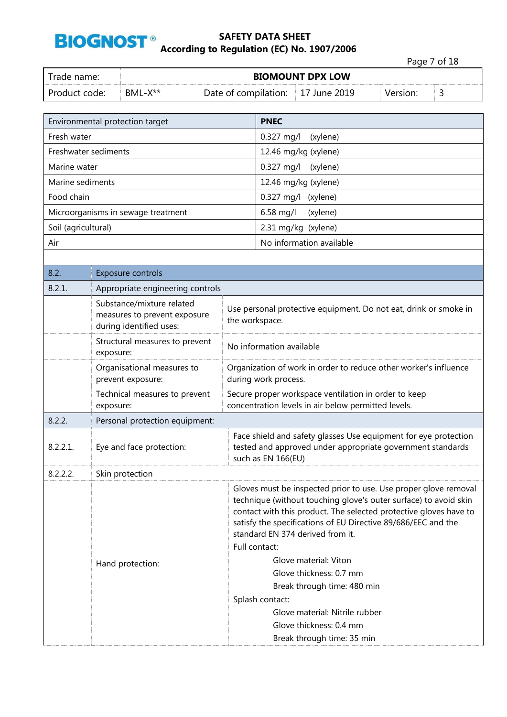

|               |         |                                   |                         |          | Page 7 of 18 |  |
|---------------|---------|-----------------------------------|-------------------------|----------|--------------|--|
| Trade name:   |         |                                   | <b>BIOMOUNT DPX LOW</b> |          |              |  |
| Product code: | BML-X** | Date of compilation: 17 June 2019 |                         | Version: | ت            |  |

|                      | Environmental protection target                                                      |                                                                                                                                                                                                                                                                                                                                                                                                                                                                        | <b>PNEC</b>                                                                                                                                         |  |  |
|----------------------|--------------------------------------------------------------------------------------|------------------------------------------------------------------------------------------------------------------------------------------------------------------------------------------------------------------------------------------------------------------------------------------------------------------------------------------------------------------------------------------------------------------------------------------------------------------------|-----------------------------------------------------------------------------------------------------------------------------------------------------|--|--|
| Fresh water          |                                                                                      |                                                                                                                                                                                                                                                                                                                                                                                                                                                                        | 0.327 mg/l<br>(xylene)                                                                                                                              |  |  |
| Freshwater sediments |                                                                                      |                                                                                                                                                                                                                                                                                                                                                                                                                                                                        | 12.46 mg/kg (xylene)                                                                                                                                |  |  |
| Marine water         |                                                                                      |                                                                                                                                                                                                                                                                                                                                                                                                                                                                        | 0.327 mg/l<br>(xylene)                                                                                                                              |  |  |
| Marine sediments     |                                                                                      |                                                                                                                                                                                                                                                                                                                                                                                                                                                                        | 12.46 mg/kg (xylene)                                                                                                                                |  |  |
| Food chain           |                                                                                      |                                                                                                                                                                                                                                                                                                                                                                                                                                                                        | $0.327$ mg/l<br>(xylene)                                                                                                                            |  |  |
|                      | Microorganisms in sewage treatment                                                   |                                                                                                                                                                                                                                                                                                                                                                                                                                                                        | 6.58 mg/l<br>(xylene)                                                                                                                               |  |  |
| Soil (agricultural)  |                                                                                      |                                                                                                                                                                                                                                                                                                                                                                                                                                                                        | 2.31 mg/kg (xylene)                                                                                                                                 |  |  |
| Air                  |                                                                                      |                                                                                                                                                                                                                                                                                                                                                                                                                                                                        | No information available                                                                                                                            |  |  |
|                      |                                                                                      |                                                                                                                                                                                                                                                                                                                                                                                                                                                                        |                                                                                                                                                     |  |  |
| 8.2.                 | Exposure controls                                                                    |                                                                                                                                                                                                                                                                                                                                                                                                                                                                        |                                                                                                                                                     |  |  |
| 8.2.1.               | Appropriate engineering controls                                                     |                                                                                                                                                                                                                                                                                                                                                                                                                                                                        |                                                                                                                                                     |  |  |
|                      | Substance/mixture related<br>measures to prevent exposure<br>during identified uses: | the workspace.                                                                                                                                                                                                                                                                                                                                                                                                                                                         | Use personal protective equipment. Do not eat, drink or smoke in                                                                                    |  |  |
|                      | Structural measures to prevent<br>exposure:                                          | No information available                                                                                                                                                                                                                                                                                                                                                                                                                                               |                                                                                                                                                     |  |  |
|                      | Organisational measures to<br>prevent exposure:                                      | Organization of work in order to reduce other worker's influence<br>during work process.                                                                                                                                                                                                                                                                                                                                                                               |                                                                                                                                                     |  |  |
|                      | Technical measures to prevent<br>exposure:                                           |                                                                                                                                                                                                                                                                                                                                                                                                                                                                        | Secure proper workspace ventilation in order to keep<br>concentration levels in air below permitted levels.                                         |  |  |
| 8.2.2.               | Personal protection equipment:                                                       |                                                                                                                                                                                                                                                                                                                                                                                                                                                                        |                                                                                                                                                     |  |  |
| 8.2.2.1.             | Eye and face protection:                                                             |                                                                                                                                                                                                                                                                                                                                                                                                                                                                        | Face shield and safety glasses Use equipment for eye protection<br>tested and approved under appropriate government standards<br>such as EN 166(EU) |  |  |
| 8.2.2.2.             | Skin protection                                                                      |                                                                                                                                                                                                                                                                                                                                                                                                                                                                        |                                                                                                                                                     |  |  |
|                      | Hand protection:                                                                     | Gloves must be inspected prior to use. Use proper glove removal<br>technique (without touching glove's outer surface) to avoid skin<br>contact with this product. The selected protective gloves have to<br>satisfy the specifications of EU Directive 89/686/EEC and the<br>standard EN 374 derived from it.<br>Full contact:<br>Glove material: Viton<br>Glove thickness: 0.7 mm<br>Break through time: 480 min<br>Splash contact:<br>Glove material: Nitrile rubber |                                                                                                                                                     |  |  |
|                      |                                                                                      |                                                                                                                                                                                                                                                                                                                                                                                                                                                                        | Glove thickness: 0.4 mm<br>Break through time: 35 min                                                                                               |  |  |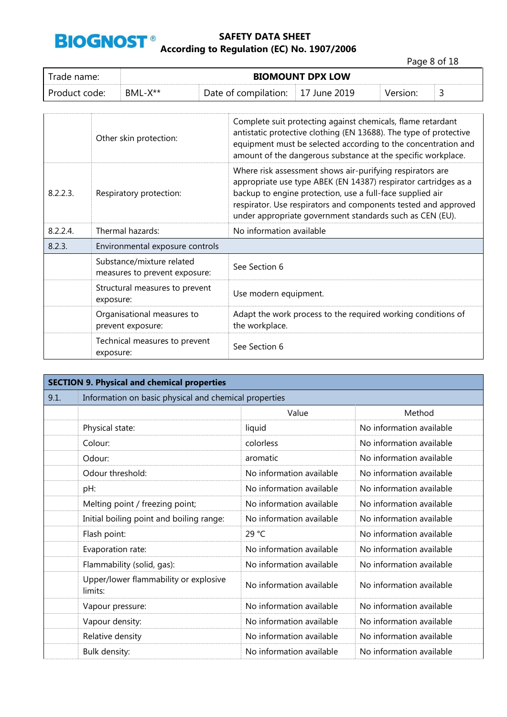

Page 8 of 18

| Trade name:     | <b>BIOMOUNT DPX LOW</b> |                                   |  |          |  |  |
|-----------------|-------------------------|-----------------------------------|--|----------|--|--|
| . Product code: | $BML-X^{**}$            | Date of compilation: 17 June 2019 |  | Version: |  |  |

|             | Other skin protection:                                     | Complete suit protecting against chemicals, flame retardant<br>antistatic protective clothing (EN 13688). The type of protective<br>equipment must be selected according to the concentration and<br>amount of the dangerous substance at the specific workplace.                                                       |
|-------------|------------------------------------------------------------|-------------------------------------------------------------------------------------------------------------------------------------------------------------------------------------------------------------------------------------------------------------------------------------------------------------------------|
| 8.2.2.3.    | Respiratory protection:                                    | Where risk assessment shows air-purifying respirators are<br>appropriate use type ABEK (EN 14387) respirator cartridges as a<br>backup to engine protection, use a full-face supplied air<br>respirator. Use respirators and components tested and approved<br>under appropriate government standards such as CEN (EU). |
| $8.2.2.4$ . | Thermal hazards:                                           | No information available                                                                                                                                                                                                                                                                                                |
| 8.2.3.      | Environmental exposure controls                            |                                                                                                                                                                                                                                                                                                                         |
|             | Substance/mixture related<br>measures to prevent exposure: | See Section 6                                                                                                                                                                                                                                                                                                           |
|             | Structural measures to prevent<br>exposure:                | Use modern equipment.                                                                                                                                                                                                                                                                                                   |
|             | Organisational measures to<br>prevent exposure:            | Adapt the work process to the required working conditions of<br>the workplace.                                                                                                                                                                                                                                          |
|             | Technical measures to prevent<br>exposure:                 | See Section 6                                                                                                                                                                                                                                                                                                           |

|      | <b>SECTION 9. Physical and chemical properties</b>    |                          |                          |  |  |
|------|-------------------------------------------------------|--------------------------|--------------------------|--|--|
| 9.1. | Information on basic physical and chemical properties |                          |                          |  |  |
|      |                                                       | Value                    | Method                   |  |  |
|      | Physical state:                                       | liquid                   | No information available |  |  |
|      | Colour:                                               | colorless                | No information available |  |  |
|      | Odour:                                                | aromatic                 | No information available |  |  |
|      | Odour threshold:                                      | No information available | No information available |  |  |
|      | pH:                                                   | No information available | No information available |  |  |
|      | Melting point / freezing point;                       | No information available | No information available |  |  |
|      | Initial boiling point and boiling range:              | No information available | No information available |  |  |
|      | Flash point:                                          | 29 °C                    | No information available |  |  |
|      | Evaporation rate:                                     | No information available | No information available |  |  |
|      | Flammability (solid, gas):                            | No information available | No information available |  |  |
|      | Upper/lower flammability or explosive<br>limits:      | No information available | No information available |  |  |
|      | Vapour pressure:                                      | No information available | No information available |  |  |
|      | Vapour density:                                       | No information available | No information available |  |  |
|      | Relative density                                      | No information available | No information available |  |  |
|      | Bulk density:                                         | No information available | No information available |  |  |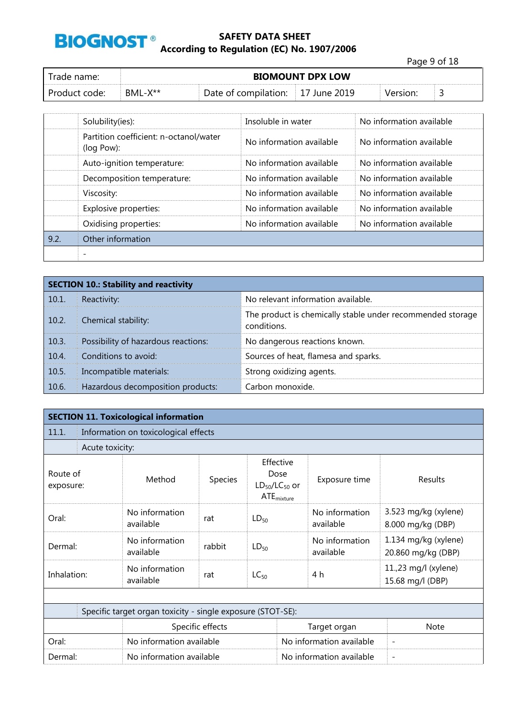

Page 9 of 18 Trade name: **BIOMOUNT DPX LOW** Product code: BML-X\*\* Date of compilation: 17 June 2019 Version: 3

|      | Solubility(ies):                                     | Insoluble in water       | No information available |
|------|------------------------------------------------------|--------------------------|--------------------------|
|      | Partition coefficient: n-octanol/water<br>(log Pow): | No information available | No information available |
|      | Auto-ignition temperature:                           | No information available | No information available |
|      | Decomposition temperature:                           | No information available | No information available |
|      | Viscosity:                                           | No information available | No information available |
|      | Explosive properties:                                | No information available | No information available |
|      | Oxidising properties:                                | No information available | No information available |
| 9.2. | Other information                                    |                          |                          |
|      |                                                      |                          |                          |

|       | <b>SECTION 10.: Stability and reactivity</b> |                                                                           |
|-------|----------------------------------------------|---------------------------------------------------------------------------|
| 10.1. | Reactivity:                                  | No relevant information available.                                        |
| 10.2. | Chemical stability:                          | The product is chemically stable under recommended storage<br>conditions. |
| 10.3. | Possibility of hazardous reactions:          | No dangerous reactions known.                                             |
| 10.4. | Conditions to avoid:                         | Sources of heat, flamesa and sparks.                                      |
| 10.5. | Incompatible materials:                      | Strong oxidizing agents.                                                  |
| 10.6. | Hazardous decomposition products:            | Carbon monoxide.                                                          |

|                       |                                                             | <b>SECTION 11. Toxicological information</b> |         |                                                              |                             |                                            |  |  |  |  |
|-----------------------|-------------------------------------------------------------|----------------------------------------------|---------|--------------------------------------------------------------|-----------------------------|--------------------------------------------|--|--|--|--|
| 11.1.                 |                                                             | Information on toxicological effects         |         |                                                              |                             |                                            |  |  |  |  |
|                       | Acute toxicity:                                             |                                              |         |                                                              |                             |                                            |  |  |  |  |
| Route of<br>exposure: |                                                             | Method                                       | Species | Effective<br>Dose<br>$LD_{50}/LC_{50}$ or<br>$ATE_{mixture}$ | Exposure time               | Results                                    |  |  |  |  |
| Oral:                 |                                                             | No information<br>available                  | rat     | $LD_{50}$                                                    | No information<br>available | 3.523 mg/kg (xylene)<br>8.000 mg/kg (DBP)  |  |  |  |  |
| Dermal:               |                                                             | No information<br>available                  | rabbit  | $LD_{50}$                                                    | No information<br>available | 1.134 mg/kg (xylene)<br>20.860 mg/kg (DBP) |  |  |  |  |
| Inhalation:           |                                                             | No information<br>available                  | rat     | $LC_{50}$                                                    | 4 h                         | 11.,23 mg/l (xylene)<br>15.68 mg/l (DBP)   |  |  |  |  |
|                       |                                                             |                                              |         |                                                              |                             |                                            |  |  |  |  |
|                       | Specific target organ toxicity - single exposure (STOT-SE): |                                              |         |                                                              |                             |                                            |  |  |  |  |
| Specific effects      |                                                             |                                              |         |                                                              | Target organ                | <b>Note</b>                                |  |  |  |  |
| Oral:                 |                                                             | No information available                     |         |                                                              | No information available    | $\overline{\phantom{a}}$                   |  |  |  |  |
| Dermal:               |                                                             | No information available                     |         |                                                              | No information available    |                                            |  |  |  |  |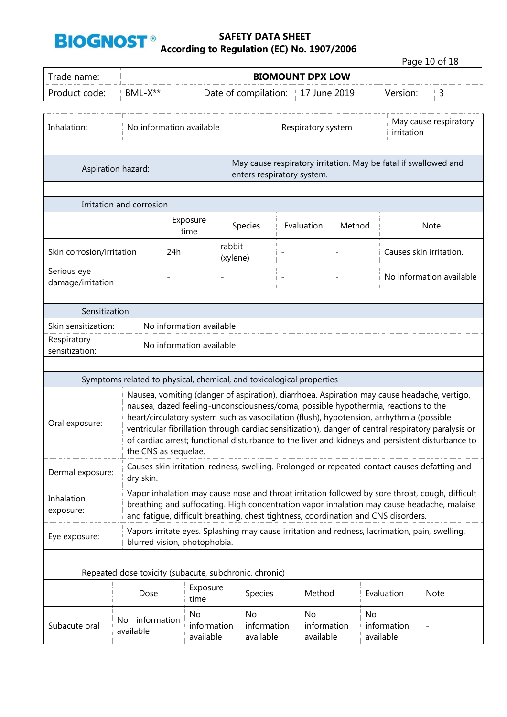

Page 10 of 18

| Trade name:                                               |                                                                                                                                                                                                                                                                                     | <b>BIOMOUNT DPX LOW</b>  |                                                                                                                                                                                |                                |                          |                          |                 |                                     |                                                                                                                                                                                                                                                                                                        |  |  |  |
|-----------------------------------------------------------|-------------------------------------------------------------------------------------------------------------------------------------------------------------------------------------------------------------------------------------------------------------------------------------|--------------------------|--------------------------------------------------------------------------------------------------------------------------------------------------------------------------------|--------------------------------|--------------------------|--------------------------|-----------------|-------------------------------------|--------------------------------------------------------------------------------------------------------------------------------------------------------------------------------------------------------------------------------------------------------------------------------------------------------|--|--|--|
| Product code:                                             | BML-X**                                                                                                                                                                                                                                                                             |                          |                                                                                                                                                                                | Date of compilation:           |                          | 17 June 2019             |                 | Version:                            | 3                                                                                                                                                                                                                                                                                                      |  |  |  |
| Inhalation:                                               |                                                                                                                                                                                                                                                                                     | No information available |                                                                                                                                                                                |                                | Respiratory system       |                          |                 | May cause respiratory<br>irritation |                                                                                                                                                                                                                                                                                                        |  |  |  |
|                                                           | Aspiration hazard:                                                                                                                                                                                                                                                                  |                          |                                                                                                                                                                                | enters respiratory system.     |                          |                          |                 |                                     | May cause respiratory irritation. May be fatal if swallowed and                                                                                                                                                                                                                                        |  |  |  |
|                                                           | Irritation and corrosion                                                                                                                                                                                                                                                            |                          |                                                                                                                                                                                |                                |                          |                          |                 |                                     |                                                                                                                                                                                                                                                                                                        |  |  |  |
|                                                           |                                                                                                                                                                                                                                                                                     | Exposure<br>time         |                                                                                                                                                                                | <b>Species</b>                 | Evaluation               | Method                   |                 |                                     | <b>Note</b>                                                                                                                                                                                                                                                                                            |  |  |  |
| Skin corrosion/irritation                                 | 24h                                                                                                                                                                                                                                                                                 | rabbit<br>(xylene)       |                                                                                                                                                                                |                                |                          |                          |                 | Causes skin irritation.             |                                                                                                                                                                                                                                                                                                        |  |  |  |
| Serious eye<br>damage/irritation                          |                                                                                                                                                                                                                                                                                     | $\overline{\phantom{0}}$ | $\overline{\phantom{a}}$                                                                                                                                                       |                                | $\overline{\phantom{a}}$ | $\overline{\phantom{a}}$ |                 |                                     | No information available                                                                                                                                                                                                                                                                               |  |  |  |
| Sensitization                                             |                                                                                                                                                                                                                                                                                     |                          |                                                                                                                                                                                |                                |                          |                          |                 |                                     |                                                                                                                                                                                                                                                                                                        |  |  |  |
| Skin sensitization:                                       |                                                                                                                                                                                                                                                                                     |                          | No information available                                                                                                                                                       |                                |                          |                          |                 |                                     |                                                                                                                                                                                                                                                                                                        |  |  |  |
| Respiratory<br>No information available<br>sensitization: |                                                                                                                                                                                                                                                                                     |                          |                                                                                                                                                                                |                                |                          |                          |                 |                                     |                                                                                                                                                                                                                                                                                                        |  |  |  |
|                                                           |                                                                                                                                                                                                                                                                                     |                          |                                                                                                                                                                                |                                |                          |                          |                 |                                     |                                                                                                                                                                                                                                                                                                        |  |  |  |
| Oral exposure:                                            | Symptoms related to physical, chemical, and toxicological properties                                                                                                                                                                                                                | the CNS as sequelae.     | nausea, dazed feeling-unconsciousness/coma, possible hypothermia, reactions to the<br>heart/circulatory system such as vasodilation (flush), hypotension, arrhythmia (possible |                                |                          |                          |                 |                                     | Nausea, vomiting (danger of aspiration), diarrhoea. Aspiration may cause headache, vertigo,<br>ventricular fibrillation through cardiac sensitization), danger of central respiratory paralysis or<br>of cardiac arrest; functional disturbance to the liver and kidneys and persistent disturbance to |  |  |  |
| Dermal exposure:                                          | dry skin.                                                                                                                                                                                                                                                                           |                          |                                                                                                                                                                                |                                |                          |                          |                 |                                     | Causes skin irritation, redness, swelling. Prolonged or repeated contact causes defatting and                                                                                                                                                                                                          |  |  |  |
| Inhalation<br>exposure:                                   | Vapor inhalation may cause nose and throat irritation followed by sore throat, cough, difficult<br>breathing and suffocating. High concentration vapor inhalation may cause headache, malaise<br>and fatigue, difficult breathing, chest tightness, coordination and CNS disorders. |                          |                                                                                                                                                                                |                                |                          |                          |                 |                                     |                                                                                                                                                                                                                                                                                                        |  |  |  |
| Eye exposure:                                             |                                                                                                                                                                                                                                                                                     |                          | Vapors irritate eyes. Splashing may cause irritation and redness, lacrimation, pain, swelling,<br>blurred vision, photophobia.                                                 |                                |                          |                          |                 |                                     |                                                                                                                                                                                                                                                                                                        |  |  |  |
|                                                           | Repeated dose toxicity (subacute, subchronic, chronic)                                                                                                                                                                                                                              |                          |                                                                                                                                                                                |                                |                          |                          |                 |                                     |                                                                                                                                                                                                                                                                                                        |  |  |  |
|                                                           | Dose                                                                                                                                                                                                                                                                                |                          | Exposure<br>time                                                                                                                                                               | Species                        |                          | Method                   | Evaluation      |                                     | Note                                                                                                                                                                                                                                                                                                   |  |  |  |
| Subacute oral                                             | information<br>No.<br>available                                                                                                                                                                                                                                                     |                          | No<br>information<br>available                                                                                                                                                 | No<br>information<br>available | No                       | information<br>available | No<br>available | information                         |                                                                                                                                                                                                                                                                                                        |  |  |  |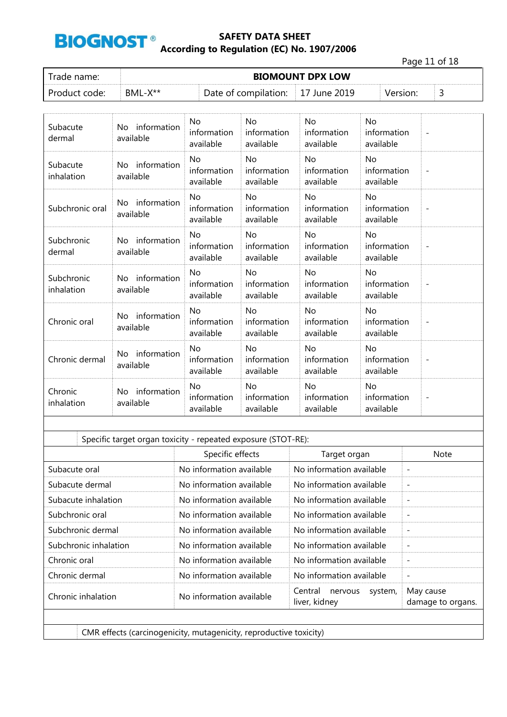

Page 11 of 18

| Trade name:   |         | <b>BIOMOUNT DPX LOW</b>           |  |          |  |
|---------------|---------|-----------------------------------|--|----------|--|
| Product code: | BML-X** | Date of compilation: 17 June 2019 |  | Version: |  |

| Subacute<br>dermal          | No information<br>available     | No.<br>information<br>available       | No.<br>information<br>available       | No.<br>information<br>available       | No<br>information<br>available        | $\overline{\phantom{a}}$ |
|-----------------------------|---------------------------------|---------------------------------------|---------------------------------------|---------------------------------------|---------------------------------------|--------------------------|
| Subacute<br>inhalation      | No information<br>available     | No<br>information<br>available        | <b>No</b><br>information<br>available | <b>No</b><br>information<br>available | <b>No</b><br>information<br>available | $\overline{\phantom{a}}$ |
| Subchronic oral             | information<br>No.<br>available | <b>No</b><br>information<br>available | <b>No</b><br>information<br>available | <b>No</b><br>information<br>available | <b>No</b><br>information<br>available |                          |
| <b>Subchronic</b><br>dermal | No information<br>available     | No<br>information<br>available        | No<br>information<br>available        | No<br>information<br>available        | <b>No</b><br>information<br>available |                          |
| Subchronic<br>inhalation    | No information<br>available     | No.<br>information<br>available       | No.<br>information<br>available       | No.<br>information<br>available       | No<br>information<br>available        |                          |
| Chronic oral                | information<br>No.<br>available | No<br>information<br>available        | No<br>information<br>available        | <b>No</b><br>information<br>available | No<br>information<br>available        | $\overline{\phantom{a}}$ |
| Chronic dermal              | No information<br>available     | No<br>information<br>available        | <b>No</b><br>information<br>available | No.<br>information<br>available       | <b>No</b><br>information<br>available |                          |
| Chronic<br>inhalation       | No information<br>available     | No<br>information<br>available        | No<br>information<br>available        | No<br>information<br>available        | No<br>information<br>available        |                          |

| No information available<br>No information available<br>No information available<br>No information available<br>$\overline{\phantom{0}}$<br>No information available<br>No information available<br>No information available<br>No information available<br>$\overline{\phantom{a}}$<br>No information available<br>No information available<br>No information available<br>No information available<br>No information available<br>No information available<br>No information available<br>No information available<br>$\overline{\phantom{a}}$<br>Central<br>May cause<br>nervous<br>system,<br>No information available<br>liver, kidney |               | Specific effects | Target organ | <b>Note</b>       |
|---------------------------------------------------------------------------------------------------------------------------------------------------------------------------------------------------------------------------------------------------------------------------------------------------------------------------------------------------------------------------------------------------------------------------------------------------------------------------------------------------------------------------------------------------------------------------------------------------------------------------------------------|---------------|------------------|--------------|-------------------|
| Subacute dermal<br>Subacute inhalation<br>Subchronic oral<br>Subchronic dermal<br>Subchronic inhalation<br>Chronic dermal                                                                                                                                                                                                                                                                                                                                                                                                                                                                                                                   | Subacute oral |                  |              |                   |
| Chronic oral<br>Chronic inhalation                                                                                                                                                                                                                                                                                                                                                                                                                                                                                                                                                                                                          |               |                  |              |                   |
|                                                                                                                                                                                                                                                                                                                                                                                                                                                                                                                                                                                                                                             |               |                  |              |                   |
|                                                                                                                                                                                                                                                                                                                                                                                                                                                                                                                                                                                                                                             |               |                  |              |                   |
|                                                                                                                                                                                                                                                                                                                                                                                                                                                                                                                                                                                                                                             |               |                  |              |                   |
|                                                                                                                                                                                                                                                                                                                                                                                                                                                                                                                                                                                                                                             |               |                  |              |                   |
|                                                                                                                                                                                                                                                                                                                                                                                                                                                                                                                                                                                                                                             |               |                  |              |                   |
|                                                                                                                                                                                                                                                                                                                                                                                                                                                                                                                                                                                                                                             |               |                  |              |                   |
|                                                                                                                                                                                                                                                                                                                                                                                                                                                                                                                                                                                                                                             |               |                  |              | damage to organs. |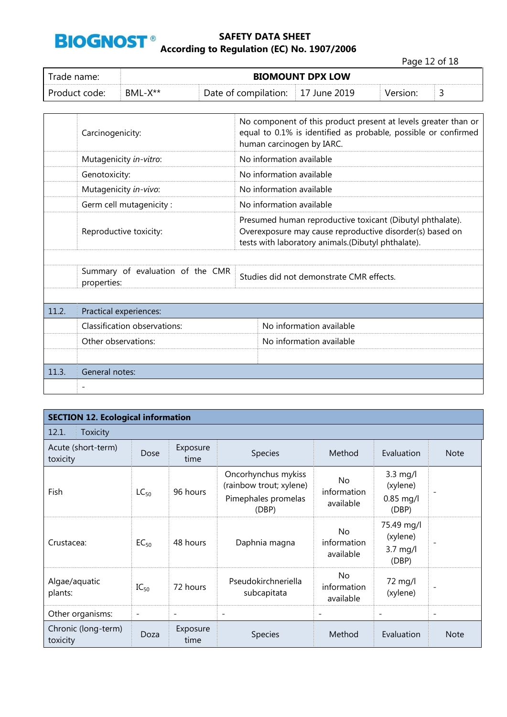

Page 12 of 18

| Trade name: I |                     | <b>BIOMOUNT DPX LOW</b> |                    |          |  |
|---------------|---------------------|-------------------------|--------------------|----------|--|
| Product code: | BML-X <sup>**</sup> | Date of compilation:    | $\pm 17$ June 2019 | Version: |  |

|       | Carcinogenicity:                                | No component of this product present at levels greater than or<br>equal to 0.1% is identified as probable, possible or confirmed<br>human carcinogen by IARC.               |                          |  |  |  |  |
|-------|-------------------------------------------------|-----------------------------------------------------------------------------------------------------------------------------------------------------------------------------|--------------------------|--|--|--|--|
|       | Mutagenicity in-vitro:                          |                                                                                                                                                                             | No information available |  |  |  |  |
|       | Genotoxicity:                                   | No information available                                                                                                                                                    |                          |  |  |  |  |
|       | Mutagenicity in-vivo:                           |                                                                                                                                                                             | No information available |  |  |  |  |
|       | Germ cell mutagenicity:                         |                                                                                                                                                                             | No information available |  |  |  |  |
|       | Reproductive toxicity:                          | Presumed human reproductive toxicant (Dibutyl phthalate).<br>Overexposure may cause reproductive disorder(s) based on<br>tests with laboratory animals.(Dibutyl phthalate). |                          |  |  |  |  |
|       |                                                 |                                                                                                                                                                             |                          |  |  |  |  |
|       | Summary of evaluation of the CMR<br>properties: | Studies did not demonstrate CMR effects.                                                                                                                                    |                          |  |  |  |  |
|       |                                                 |                                                                                                                                                                             |                          |  |  |  |  |
| 11.2. | Practical experiences:                          |                                                                                                                                                                             |                          |  |  |  |  |
|       | Classification observations:                    |                                                                                                                                                                             | No information available |  |  |  |  |
|       | Other observations:                             |                                                                                                                                                                             | No information available |  |  |  |  |
|       |                                                 |                                                                                                                                                                             |                          |  |  |  |  |
| 11.3. | General notes:                                  |                                                                                                                                                                             |                          |  |  |  |  |
|       |                                                 |                                                                                                                                                                             |                          |  |  |  |  |

| <b>SECTION 12. Ecological information</b> |                          |                          |                                                                                |                                       |                                                        |                          |
|-------------------------------------------|--------------------------|--------------------------|--------------------------------------------------------------------------------|---------------------------------------|--------------------------------------------------------|--------------------------|
| 12.1.<br>Toxicity                         |                          |                          |                                                                                |                                       |                                                        |                          |
| Acute (short-term)<br>toxicity            | Dose                     | Exposure<br>time         | Species                                                                        | Method                                | Evaluation                                             | <b>Note</b>              |
| <b>Fish</b>                               | $LC_{50}$                | 96 hours                 | Oncorhynchus mykiss<br>(rainbow trout; xylene)<br>Pimephales promelas<br>(DBP) | No<br>information<br>available        | $3.3 \text{ mg/l}$<br>(xylene)<br>$0.85$ mg/l<br>(DBP) | -                        |
| Crustacea:                                | $EC_{50}$                | 48 hours                 | Daphnia magna                                                                  | <b>No</b><br>information<br>available | 75.49 mg/l<br>(xylene)<br>$3.7 \text{ mg/l}$<br>(DBP)  |                          |
| Algae/aquatic<br>plants:                  | $IC_{50}$                | 72 hours                 | Pseudokirchneriella<br>subcapitata                                             | <b>No</b><br>information<br>available | 72 mg/l<br>(xylene)                                    |                          |
| Other organisms:                          | $\overline{\phantom{a}}$ | $\overline{\phantom{0}}$ | $\overline{\phantom{a}}$                                                       | $\overline{\phantom{a}}$              | $\overline{\phantom{a}}$                               | $\overline{\phantom{a}}$ |
| Chronic (long-term)<br>toxicity           | Doza                     | Exposure<br>time         | <b>Species</b>                                                                 | Method                                | Evaluation                                             | <b>Note</b>              |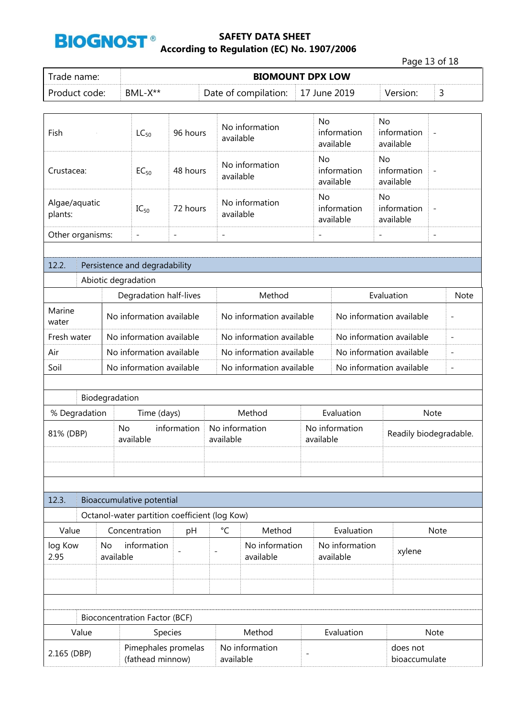

|                                                   |                                         |                |                                                                            |                   |                          |                             |                          |                          |                                       | Page 13 of 18            |
|---------------------------------------------------|-----------------------------------------|----------------|----------------------------------------------------------------------------|-------------------|--------------------------|-----------------------------|--------------------------|--------------------------|---------------------------------------|--------------------------|
| Trade name:                                       |                                         |                |                                                                            |                   |                          | <b>BIOMOUNT DPX LOW</b>     |                          |                          |                                       |                          |
| Product code:                                     |                                         |                | BML-X**                                                                    |                   |                          | Date of compilation:        |                          | 17 June 2019             | Version:                              | 3                        |
|                                                   |                                         |                |                                                                            |                   |                          |                             |                          |                          |                                       |                          |
| Fish                                              |                                         |                | $LC_{50}$                                                                  | 96 hours          |                          | No information<br>available | <b>No</b>                | information<br>available | <b>No</b><br>information<br>available |                          |
| Crustacea:                                        |                                         |                | $EC_{50}$                                                                  | 48 hours          |                          | No information<br>available | No                       | information<br>available | No<br>information<br>available        | $\overline{\phantom{0}}$ |
| Algae/aquatic<br>plants:                          |                                         |                | $IC_{50}$                                                                  | 72 hours          |                          | No information<br>available | No                       | information<br>available | No<br>information<br>available        | $\qquad \qquad -$        |
| Other organisms:                                  |                                         |                | $\overline{\phantom{a}}$                                                   | $\qquad \qquad -$ | $\overline{\phantom{a}}$ |                             | $\overline{\phantom{a}}$ |                          | $\overline{\phantom{a}}$              | $\overline{\phantom{a}}$ |
|                                                   |                                         |                |                                                                            |                   |                          |                             |                          |                          |                                       |                          |
| 12.2.                                             |                                         |                | Persistence and degradability                                              |                   |                          |                             |                          |                          |                                       |                          |
|                                                   |                                         |                | Abiotic degradation                                                        |                   |                          |                             |                          |                          |                                       |                          |
|                                                   |                                         |                | Degradation half-lives                                                     |                   |                          | Method                      |                          | Evaluation               | <b>Note</b>                           |                          |
| Marine<br>water                                   |                                         |                | No information available                                                   |                   |                          | No information available    |                          |                          | No information available              |                          |
|                                                   | Fresh water<br>No information available |                |                                                                            |                   |                          | No information available    |                          |                          | No information available              | $\overline{\phantom{a}}$ |
| Air                                               | No information available                |                |                                                                            |                   |                          | No information available    |                          |                          | No information available              | $\overline{\phantom{a}}$ |
| Soil<br>No information available                  |                                         |                |                                                                            |                   | No information available |                             |                          | No information available | $\overline{\phantom{a}}$              |                          |
|                                                   |                                         |                |                                                                            |                   |                          |                             |                          |                          |                                       |                          |
|                                                   |                                         | Biodegradation |                                                                            |                   |                          |                             |                          |                          |                                       |                          |
| % Degradation                                     |                                         |                | Time (days)                                                                |                   |                          | Method                      |                          | Evaluation               |                                       | Note                     |
|                                                   |                                         | No             |                                                                            | information       |                          |                             |                          | No information           |                                       |                          |
| 81% (DBP)                                         |                                         |                | available                                                                  |                   | available                | No information              |                          | available                |                                       | Readily biodegradable.   |
|                                                   |                                         |                |                                                                            |                   |                          |                             |                          |                          |                                       |                          |
|                                                   |                                         |                |                                                                            |                   |                          |                             |                          |                          |                                       |                          |
|                                                   |                                         |                |                                                                            |                   |                          |                             |                          |                          |                                       |                          |
| 12.3.                                             |                                         |                |                                                                            |                   |                          |                             |                          |                          |                                       |                          |
|                                                   |                                         |                | Bioaccumulative potential<br>Octanol-water partition coefficient (log Kow) |                   |                          |                             |                          |                          |                                       |                          |
| Value                                             |                                         |                | Concentration                                                              |                   | °C                       | Method                      |                          | Evaluation               |                                       | Note                     |
|                                                   |                                         |                |                                                                            | pH                |                          |                             |                          |                          |                                       |                          |
| information<br>log Kow<br>No<br>2.95<br>available |                                         |                | No information<br>available                                                |                   |                          | No information<br>available | xylene                   |                          |                                       |                          |
|                                                   |                                         |                |                                                                            |                   |                          |                             |                          |                          |                                       |                          |
|                                                   |                                         |                |                                                                            |                   |                          |                             |                          |                          |                                       |                          |
|                                                   |                                         |                | <b>Bioconcentration Factor (BCF)</b>                                       |                   |                          |                             |                          |                          |                                       |                          |
|                                                   | Value                                   |                | Species                                                                    |                   |                          | Method                      |                          | Evaluation               |                                       | Note                     |
| 2.165 (DBP)                                       |                                         |                | Pimephales promelas<br>(fathead minnow)                                    |                   | available                | No information              | $\overline{a}$           |                          | does not<br>bioaccumulate             |                          |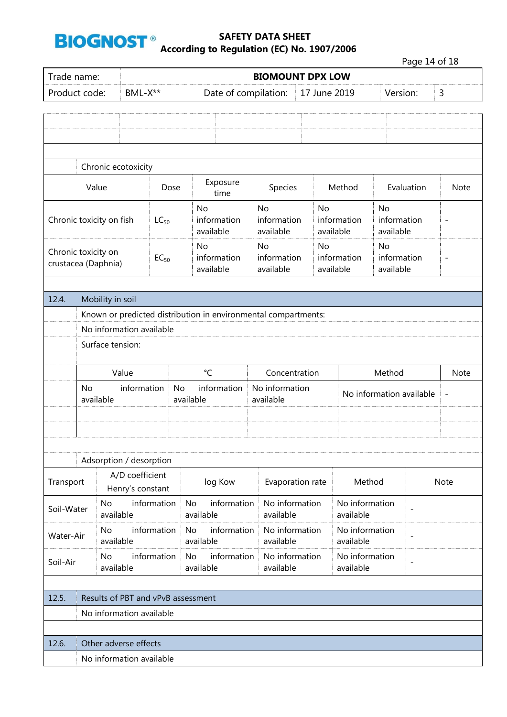

|                                            |                                                   |                        |                                     |                                |                                                |                                                                |                |                                |                             |           |                             |                                | Page 14 of 18            |                          |
|--------------------------------------------|---------------------------------------------------|------------------------|-------------------------------------|--------------------------------|------------------------------------------------|----------------------------------------------------------------|----------------|--------------------------------|-----------------------------|-----------|-----------------------------|--------------------------------|--------------------------|--------------------------|
| Trade name:                                |                                                   |                        |                                     |                                |                                                |                                                                |                | <b>BIOMOUNT DPX LOW</b>        |                             |           |                             |                                |                          |                          |
| Product code:                              |                                                   |                        | BML-X**                             |                                |                                                | Date of compilation:                                           |                |                                | 17 June 2019                |           |                             |                                | Version:                 | 3                        |
|                                            |                                                   |                        |                                     |                                |                                                |                                                                |                |                                |                             |           |                             |                                |                          |                          |
|                                            |                                                   |                        |                                     |                                |                                                |                                                                |                |                                |                             |           |                             |                                |                          |                          |
|                                            |                                                   |                        |                                     |                                |                                                |                                                                |                |                                |                             |           |                             |                                |                          |                          |
|                                            |                                                   |                        | Chronic ecotoxicity                 |                                |                                                |                                                                |                |                                |                             |           |                             |                                |                          |                          |
|                                            |                                                   | Value                  |                                     | Dose                           |                                                | Exposure                                                       |                | Species                        |                             |           | Method                      |                                | Evaluation               | <b>Note</b>              |
|                                            |                                                   |                        |                                     |                                |                                                | time                                                           |                |                                |                             |           |                             |                                |                          |                          |
| Chronic toxicity on fish                   |                                                   |                        |                                     | $LC_{50}$                      |                                                | No<br>information<br>available                                 |                | No<br>information<br>available |                             | <b>No</b> | information<br>available    | No<br>information<br>available |                          | $\overline{\phantom{a}}$ |
|                                            |                                                   |                        |                                     |                                |                                                | No                                                             | No             |                                |                             | No        |                             | No                             |                          |                          |
| Chronic toxicity on<br>crustacea (Daphnia) |                                                   |                        |                                     | $EC_{50}$                      |                                                | information<br>available                                       |                | information<br>available       |                             |           | information<br>available    | information<br>available       |                          | $\overline{\phantom{a}}$ |
|                                            |                                                   |                        |                                     |                                |                                                |                                                                |                |                                |                             |           |                             |                                |                          |                          |
| 12.4.                                      |                                                   | Mobility in soil       |                                     |                                |                                                |                                                                |                |                                |                             |           |                             |                                |                          |                          |
|                                            |                                                   |                        |                                     |                                |                                                | Known or predicted distribution in environmental compartments: |                |                                |                             |           |                             |                                |                          |                          |
|                                            |                                                   |                        | No information available            |                                |                                                |                                                                |                |                                |                             |           |                             |                                |                          |                          |
|                                            |                                                   | Surface tension:       |                                     |                                |                                                |                                                                |                |                                |                             |           |                             |                                |                          |                          |
|                                            |                                                   |                        |                                     |                                |                                                | $\rm ^{\circ}C$                                                |                |                                |                             |           |                             |                                |                          |                          |
|                                            | Value<br>information                              |                        |                                     |                                | Concentration<br>information<br>No information |                                                                |                |                                |                             |           | Method                      |                                | <b>Note</b>              |                          |
|                                            | <b>No</b>                                         | available              |                                     |                                | No                                             | available<br>available                                         |                |                                |                             |           |                             |                                | No information available | $\overline{\phantom{a}}$ |
|                                            |                                                   |                        |                                     |                                |                                                |                                                                |                |                                |                             |           |                             |                                |                          |                          |
|                                            |                                                   |                        |                                     |                                |                                                |                                                                |                |                                |                             |           |                             |                                |                          |                          |
|                                            |                                                   |                        |                                     |                                |                                                |                                                                |                |                                |                             |           |                             |                                |                          |                          |
|                                            |                                                   |                        | Adsorption / desorption             |                                |                                                |                                                                |                |                                |                             |           |                             |                                |                          |                          |
| Transport                                  |                                                   |                        | A/D coefficient<br>Henry's constant |                                |                                                | log Kow                                                        |                | Evaporation rate               |                             |           | Method                      |                                |                          | <b>Note</b>              |
| Soil-Water                                 |                                                   | <b>No</b><br>available |                                     | information                    | <b>No</b>                                      | information<br>available                                       |                | No information<br>available    |                             |           | No information<br>available |                                |                          |                          |
| Water-Air                                  | information<br><b>No</b><br>available             |                        |                                     | information<br>No<br>available |                                                | No information<br>available                                    |                |                                | No information<br>available |           | $\overline{\phantom{a}}$    |                                |                          |                          |
|                                            | information<br><b>No</b><br>Soil-Air<br>available |                        |                                     | information<br>No<br>available |                                                | available                                                      | No information |                                | No information<br>available |           | $\overline{\phantom{a}}$    |                                |                          |                          |
|                                            |                                                   |                        |                                     |                                |                                                |                                                                |                |                                |                             |           |                             |                                |                          |                          |
| 12.5.                                      |                                                   |                        | Results of PBT and vPvB assessment  |                                |                                                |                                                                |                |                                |                             |           |                             |                                |                          |                          |
|                                            |                                                   |                        | No information available            |                                |                                                |                                                                |                |                                |                             |           |                             |                                |                          |                          |
|                                            |                                                   |                        |                                     |                                |                                                |                                                                |                |                                |                             |           |                             |                                |                          |                          |
| 12.6.                                      |                                                   |                        | Other adverse effects               |                                |                                                |                                                                |                |                                |                             |           |                             |                                |                          |                          |
|                                            |                                                   |                        | No information available            |                                |                                                |                                                                |                |                                |                             |           |                             |                                |                          |                          |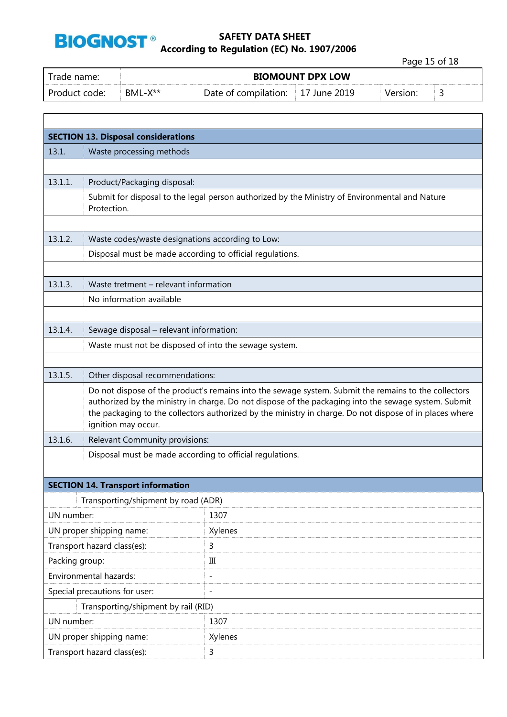

Page 15 of 18

| Trade name:   |              | <b>BIOMOUNT DPX LOW</b>           |  |          |  |
|---------------|--------------|-----------------------------------|--|----------|--|
| Product code: | $BML-X^{**}$ | Date of compilation: 17 June 2019 |  | Version: |  |

| <b>SECTION 13. Disposal considerations</b> |                                                                                                                                                                                                                 |                                                                                                |  |  |
|--------------------------------------------|-----------------------------------------------------------------------------------------------------------------------------------------------------------------------------------------------------------------|------------------------------------------------------------------------------------------------|--|--|
| 13.1.                                      | Waste processing methods                                                                                                                                                                                        |                                                                                                |  |  |
|                                            |                                                                                                                                                                                                                 |                                                                                                |  |  |
| 13.1.1.                                    | Product/Packaging disposal:                                                                                                                                                                                     |                                                                                                |  |  |
|                                            |                                                                                                                                                                                                                 | Submit for disposal to the legal person authorized by the Ministry of Environmental and Nature |  |  |
|                                            | Protection.                                                                                                                                                                                                     |                                                                                                |  |  |
|                                            |                                                                                                                                                                                                                 |                                                                                                |  |  |
| 13.1.2.                                    | Waste codes/waste designations according to Low:                                                                                                                                                                |                                                                                                |  |  |
|                                            | Disposal must be made according to official regulations.                                                                                                                                                        |                                                                                                |  |  |
|                                            |                                                                                                                                                                                                                 |                                                                                                |  |  |
| 13.1.3.                                    | Waste tretment - relevant information                                                                                                                                                                           |                                                                                                |  |  |
|                                            | No information available                                                                                                                                                                                        |                                                                                                |  |  |
|                                            |                                                                                                                                                                                                                 |                                                                                                |  |  |
| 13.1.4.                                    | Sewage disposal - relevant information:                                                                                                                                                                         |                                                                                                |  |  |
|                                            | Waste must not be disposed of into the sewage system.                                                                                                                                                           |                                                                                                |  |  |
|                                            |                                                                                                                                                                                                                 |                                                                                                |  |  |
| 13.1.5.                                    | Other disposal recommendations:                                                                                                                                                                                 |                                                                                                |  |  |
|                                            | Do not dispose of the product's remains into the sewage system. Submit the remains to the collectors                                                                                                            |                                                                                                |  |  |
|                                            | authorized by the ministry in charge. Do not dispose of the packaging into the sewage system. Submit<br>the packaging to the collectors authorized by the ministry in charge. Do not dispose of in places where |                                                                                                |  |  |
|                                            | ignition may occur.                                                                                                                                                                                             |                                                                                                |  |  |
| 13.1.6.                                    | Relevant Community provisions:                                                                                                                                                                                  |                                                                                                |  |  |
|                                            | Disposal must be made according to official regulations.                                                                                                                                                        |                                                                                                |  |  |
|                                            |                                                                                                                                                                                                                 |                                                                                                |  |  |
|                                            | <b>SECTION 14. Transport information</b>                                                                                                                                                                        |                                                                                                |  |  |
|                                            | Transporting/shipment by road (ADR)                                                                                                                                                                             |                                                                                                |  |  |
| UN number:                                 |                                                                                                                                                                                                                 | 1307                                                                                           |  |  |
| UN proper shipping name:                   |                                                                                                                                                                                                                 | Xylenes                                                                                        |  |  |
|                                            | Transport hazard class(es):                                                                                                                                                                                     | 3                                                                                              |  |  |
| Packing group:                             |                                                                                                                                                                                                                 | $\rm III$                                                                                      |  |  |
| Environmental hazards:                     |                                                                                                                                                                                                                 | $\overline{\phantom{m}}$                                                                       |  |  |
| Special precautions for user:              |                                                                                                                                                                                                                 | $\overline{\phantom{m}}$                                                                       |  |  |
| Transporting/shipment by rail (RID)        |                                                                                                                                                                                                                 |                                                                                                |  |  |
| UN number:                                 |                                                                                                                                                                                                                 | 1307                                                                                           |  |  |
| UN proper shipping name:                   |                                                                                                                                                                                                                 | Xylenes                                                                                        |  |  |
| Transport hazard class(es):                |                                                                                                                                                                                                                 | 3                                                                                              |  |  |
|                                            |                                                                                                                                                                                                                 |                                                                                                |  |  |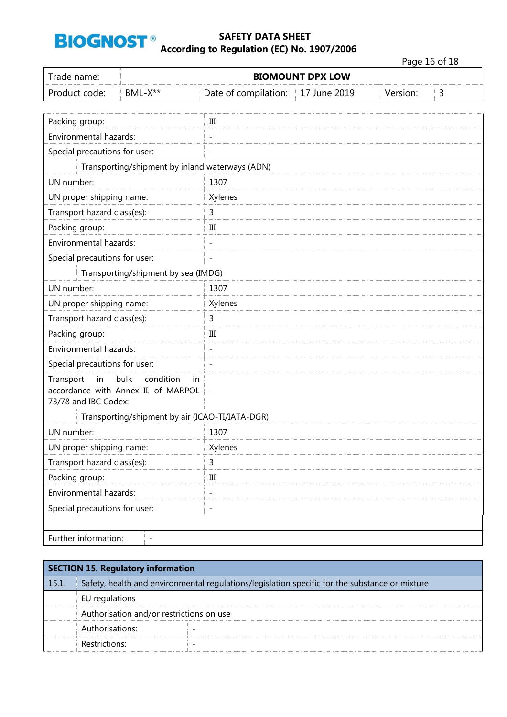

Page 16 of 18

|                                                                                                           |                                                 |                          |                         |          | Page 16 or 18 |
|-----------------------------------------------------------------------------------------------------------|-------------------------------------------------|--------------------------|-------------------------|----------|---------------|
| Trade name:                                                                                               |                                                 |                          | <b>BIOMOUNT DPX LOW</b> |          |               |
| Product code:<br>BML-X**                                                                                  |                                                 | Date of compilation:     | 17 June 2019            | Version: | 3             |
|                                                                                                           |                                                 |                          |                         |          |               |
| Packing group:                                                                                            |                                                 | Ш                        |                         |          |               |
| Environmental hazards:                                                                                    |                                                 | $\overline{a}$           |                         |          |               |
| Special precautions for user:                                                                             |                                                 | $\overline{a}$           |                         |          |               |
|                                                                                                           | Transporting/shipment by inland waterways (ADN) |                          |                         |          |               |
| UN number:                                                                                                |                                                 | 1307                     |                         |          |               |
| UN proper shipping name:                                                                                  |                                                 | Xylenes                  |                         |          |               |
| Transport hazard class(es):                                                                               |                                                 | 3                        |                         |          |               |
| Packing group:                                                                                            |                                                 | Ш                        |                         |          |               |
| Environmental hazards:                                                                                    |                                                 | $\overline{\phantom{a}}$ |                         |          |               |
| Special precautions for user:                                                                             |                                                 | $\overline{\phantom{a}}$ |                         |          |               |
|                                                                                                           | Transporting/shipment by sea (IMDG)             |                          |                         |          |               |
| UN number:                                                                                                |                                                 | 1307                     |                         |          |               |
| UN proper shipping name:                                                                                  |                                                 | Xylenes                  |                         |          |               |
| Transport hazard class(es):                                                                               |                                                 | 3                        |                         |          |               |
| Packing group:                                                                                            |                                                 | Ш                        |                         |          |               |
| Environmental hazards:                                                                                    |                                                 | $\overline{\phantom{a}}$ |                         |          |               |
| Special precautions for user:                                                                             |                                                 | $\overline{\phantom{a}}$ |                         |          |               |
| bulk<br>condition<br>in<br>Transport<br>in<br>accordance with Annex II. of MARPOL<br>73/78 and IBC Codex: |                                                 | $\overline{\phantom{m}}$ |                         |          |               |
| Transporting/shipment by air (ICAO-TI/IATA-DGR)                                                           |                                                 |                          |                         |          |               |
| UN number:                                                                                                |                                                 | 1307                     |                         |          |               |
| UN proper shipping name:                                                                                  |                                                 | Xylenes                  |                         |          |               |
| Transport hazard class(es):                                                                               |                                                 | 3                        |                         |          |               |
| Packing group:                                                                                            |                                                 | $\rm III$                |                         |          |               |
| Environmental hazards:                                                                                    |                                                 | $\qquad \qquad -$        |                         |          |               |
| Special precautions for user:                                                                             |                                                 | $\overline{\phantom{a}}$ |                         |          |               |
|                                                                                                           |                                                 |                          |                         |          |               |
| Further information:                                                                                      | $\qquad \qquad -$                               |                          |                         |          |               |

|       | <b>SECTION 15. Regulatory information</b>                                                      |                          |  |
|-------|------------------------------------------------------------------------------------------------|--------------------------|--|
| 15.1. | Safety, health and environmental regulations/legislation specific for the substance or mixture |                          |  |
|       | EU regulations                                                                                 |                          |  |
|       | Authorisation and/or restrictions on use                                                       |                          |  |
|       | Authorisations:                                                                                |                          |  |
|       | Restrictions:                                                                                  | $\overline{\phantom{0}}$ |  |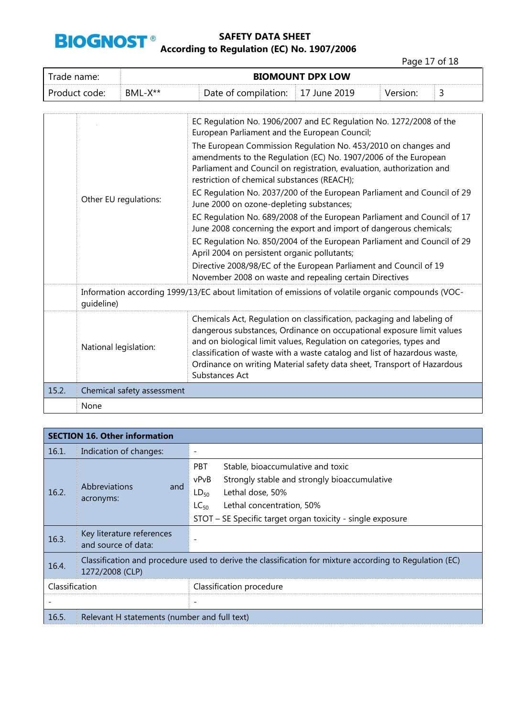

Page 17 of 18

| Trade name:   | <b>BIOMOUNT DPX LOW</b> |                                   |  |          |  |
|---------------|-------------------------|-----------------------------------|--|----------|--|
| Product code: | $BML-X^{**}$            | Date of compilation: 17 June 2019 |  | Version: |  |

|       | Other EU regulations:      | EC Regulation No. 1906/2007 and EC Regulation No. 1272/2008 of the<br>European Parliament and the European Council;<br>The European Commission Regulation No. 453/2010 on changes and<br>amendments to the Regulation (EC) No. 1907/2006 of the European<br>Parliament and Council on registration, evaluation, authorization and<br>restriction of chemical substances (REACH);<br>EC Regulation No. 2037/200 of the European Parliament and Council of 29<br>June 2000 on ozone-depleting substances;<br>EC Regulation No. 689/2008 of the European Parliament and Council of 17<br>June 2008 concerning the export and import of dangerous chemicals;<br>EC Regulation No. 850/2004 of the European Parliament and Council of 29<br>April 2004 on persistent organic pollutants;<br>Directive 2008/98/EC of the European Parliament and Council of 19<br>November 2008 on waste and repealing certain Directives |
|-------|----------------------------|---------------------------------------------------------------------------------------------------------------------------------------------------------------------------------------------------------------------------------------------------------------------------------------------------------------------------------------------------------------------------------------------------------------------------------------------------------------------------------------------------------------------------------------------------------------------------------------------------------------------------------------------------------------------------------------------------------------------------------------------------------------------------------------------------------------------------------------------------------------------------------------------------------------------|
|       | quideline)                 | Information according 1999/13/EC about limitation of emissions of volatile organic compounds (VOC-                                                                                                                                                                                                                                                                                                                                                                                                                                                                                                                                                                                                                                                                                                                                                                                                                  |
|       | National legislation:      | Chemicals Act, Regulation on classification, packaging and labeling of<br>dangerous substances, Ordinance on occupational exposure limit values<br>and on biological limit values, Regulation on categories, types and<br>classification of waste with a waste catalog and list of hazardous waste,<br>Ordinance on writing Material safety data sheet, Transport of Hazardous<br>Substances Act                                                                                                                                                                                                                                                                                                                                                                                                                                                                                                                    |
| 15.2. | Chemical safety assessment |                                                                                                                                                                                                                                                                                                                                                                                                                                                                                                                                                                                                                                                                                                                                                                                                                                                                                                                     |
|       | None                       |                                                                                                                                                                                                                                                                                                                                                                                                                                                                                                                                                                                                                                                                                                                                                                                                                                                                                                                     |

|                | <b>SECTION 16. Other information</b>                                                                                       |                                                                                                                                                                                                                                                  |  |  |  |
|----------------|----------------------------------------------------------------------------------------------------------------------------|--------------------------------------------------------------------------------------------------------------------------------------------------------------------------------------------------------------------------------------------------|--|--|--|
| 16.1.          | Indication of changes:                                                                                                     |                                                                                                                                                                                                                                                  |  |  |  |
| 16.2.          | Abbreviations<br>and<br>acronyms:                                                                                          | <b>PBT</b><br>Stable, bioaccumulative and toxic<br>vPvB<br>Strongly stable and strongly bioaccumulative<br>Lethal dose, 50%<br>$LD_{50}$<br>Lethal concentration, 50%<br>$LC_{50}$<br>STOT - SE Specific target organ toxicity - single exposure |  |  |  |
| 16.3.          | Key literature references<br>and source of data:                                                                           |                                                                                                                                                                                                                                                  |  |  |  |
| 16.4.          | Classification and procedure used to derive the classification for mixture according to Regulation (EC)<br>1272/2008 (CLP) |                                                                                                                                                                                                                                                  |  |  |  |
| Classification |                                                                                                                            | Classification procedure                                                                                                                                                                                                                         |  |  |  |
|                |                                                                                                                            |                                                                                                                                                                                                                                                  |  |  |  |
| 16.5.          | Relevant H statements (number and full text)                                                                               |                                                                                                                                                                                                                                                  |  |  |  |